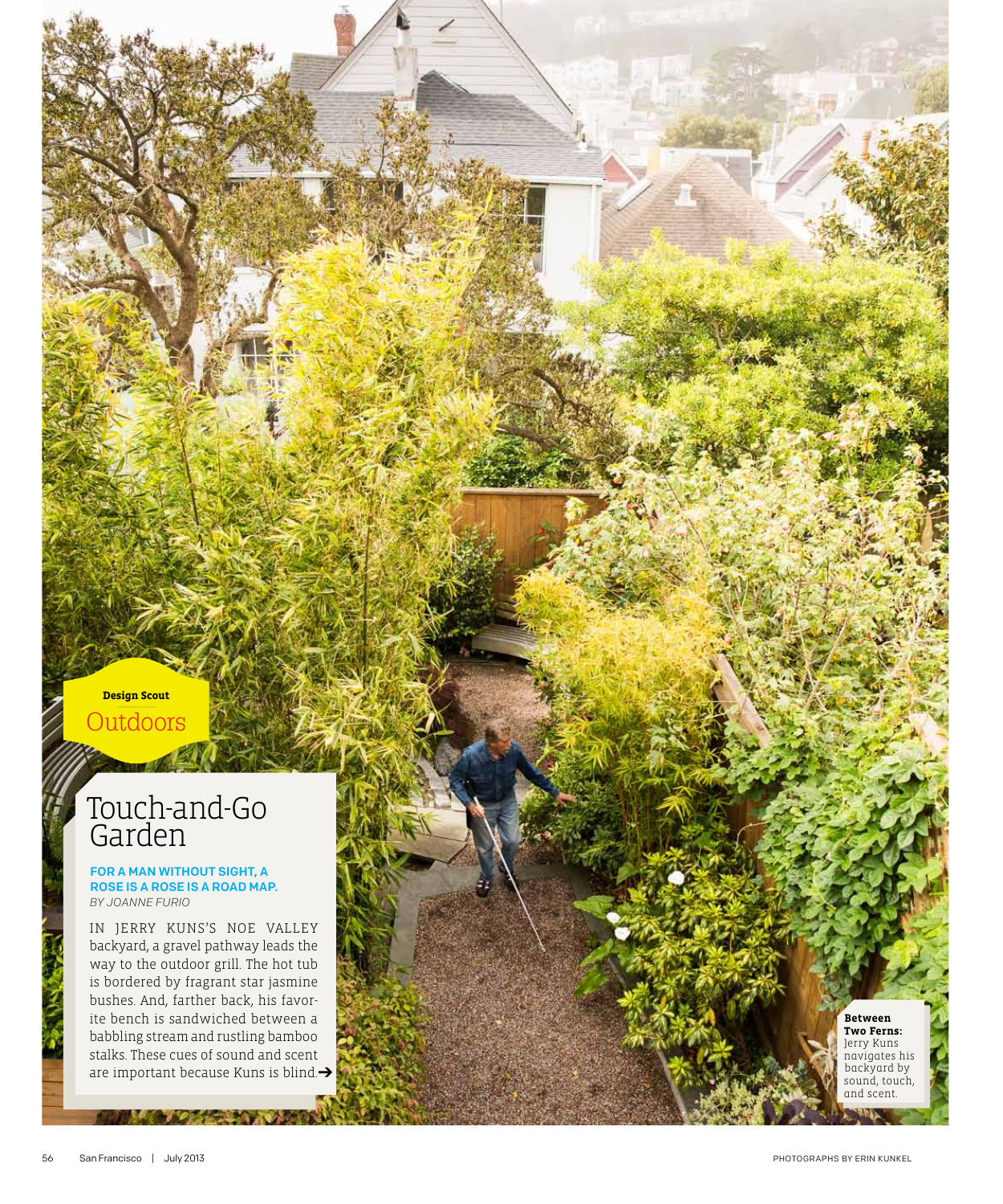## **Design Scout** Outdoors

## Touch-and-Go Garden

## for a man without sight, a rose is a rose is a road map. *by Joanne Furio*

In Jerry Kuns's Noe Valley backyard, a gravel pathway leads the way to the outdoor grill. The hot tub is bordered by fragrant star jasmine bushes. And, farther back, his favor ite bench is sandwiched between a babbling stream and rustling bamboo stalks. These cues of sound and scent are important because Kuns is blind. $\rightarrow$